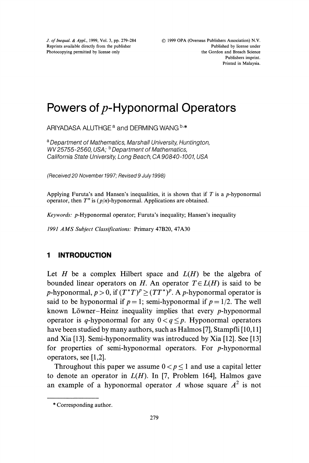J. of Inequal. & Appl., 1999, Vol. 3, pp. 279-284 Reprints available directly from the publisher Photocopying permitted by license only

# Powers of  $p$ -Hyponormal Operators

ARIYADASA ALUTHGE<sup>a</sup> and DERMING WANG

<sup>a</sup> Department of Mathematics, Marshall University, Huntington, WV 25755-2560, USA; <sup>b</sup> Department of Mathematics, California State University, Long Beach, CA 90840-1001, USA

(Received 20 November 1997; Revised 9 July 1998)

Applying Furuta's and Hansen's inequalities, it is shown that if  $T$  is a p-hyponormal operator, then  $T^n$  is  $(p/n)$ -hyponormal. Applications are obtained.

Keywords: p-Hyponormal operator; Furuta's inequality; Hansen's inequality

<sup>1991</sup> AMS Subject Classifications: Primary 47B20, 47A30

## <sup>1</sup> INTRODUCTION

Let H be a complex Hilbert space and  $L(H)$  be the algebra of bounded linear operators on H. An operator  $T \in L(H)$  is said to be *p*-hyponormal,  $p > 0$ , if  $(T^*T)^p \ge (TT^*)^p$ . A *p*-hyponormal operator is said to be hyponormal if  $p = 1$ ; semi-hyponormal if  $p = 1/2$ . The well known Löwner-Heinz inequality implies that every  $p$ -hyponormal operator is q-hyponormal for any  $0 < q \leq p$ . Hyponormal operators have been studied by many authors, such as Halmos [7], Stampfli [10,11] and Xia [13]. Semi-hyponormality was introduced by Xia [12]. See [13] for properties of semi-hyponormal operators. For  $p$ -hyponormal operators, see [1,2].

Throughout this paper we assume  $0 < p \le 1$  and use a capital letter to denote an operator in  $L(H)$ . In [7, Problem 164], Halmos gave an example of a hyponormal operator A whose square  $A^2$  is not

<sup>\*</sup> Corresponding author.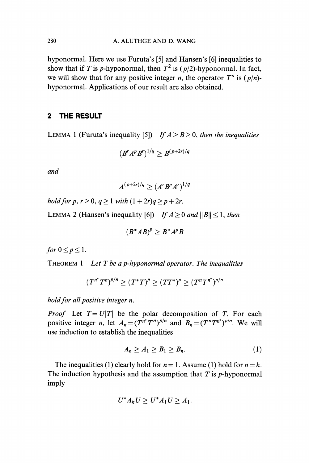hyponormal. Here we use Furuta's [5] and Hansen's [6] inequalities to show that if T is p-hyponormal, then  $T^2$  is (p/2)-hyponormal. In fact, we will show that for any positive integer *n*, the operator  $T^n$  is  $(p/n)$ hyponormal. Applications of our result are also obtained.

## 2 THE RESULT

LEMMA 1 (Furuta's inequality [5]) If  $A \geq B \geq 0$ , then the inequalities

$$
(B'A^pB^r)^{1/q}\geq B^{(p+2r)/q}
$$

and

$$
A^{(p+2r)/q} \geq (A^r B^p A^r)^{1/q}
$$

hold for p,  $r > 0$ ,  $q > 1$  with  $(1 + 2r)q > p + 2r$ .

LEMMA 2 (Hansen's inequality [6]) If  $A \ge 0$  and  $||B|| \le 1$ , then

$$
(B^*AB)^p \geq B^*A^pB
$$

for  $0 \leq p \leq 1$ .

THEOREM 1 Let T be a p-hyponormal operator. The inequalities

$$
(T^{n^*}T^n)^{p/n} \ge (T^*T)^p \ge (TT^*)^p \ge (T^nT^{n^*})^{p/n}
$$

hold for all positive integer n.

*Proof* Let  $T = U|T|$  be the polar decomposition of T. For each positive integer n, let  $A_n = (T^{n*}T^n)^{p/n}$  and  $B_n = (T^nT^{n*})^{p/n}$ . We will use induction to establish the inequalities

$$
A_n \ge A_1 \ge B_1 \ge B_n. \tag{1}
$$

The inequalities (1) clearly hold for  $n = 1$ . Assume (1) hold for  $n = k$ . The induction hypothesis and the assumption that  $T$  is  $p$ -hyponormal imply

$$
U^*A_kU\geq U^*A_1U\geq A_1.
$$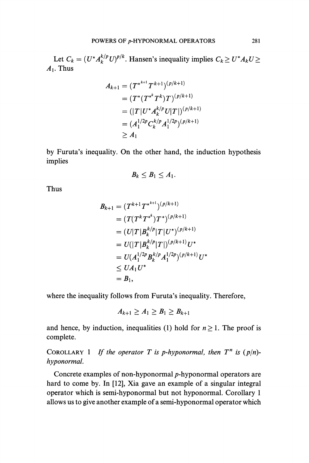Let  $C_k = (U^*A_k^{k/p}U)^{p/k}$ . Hansen's inequality implies  $C_k \ge U^*A_kU \ge$  $A_1$ . Thus

$$
A_{k+1} = (T^{*^{k+1}} T^{k+1})^{(p/k+1)}
$$
  
=  $(T^*(T^{*^k} T^k) T)^{(p/k+1)}$   
=  $(|T| U^* A_k^{k/p} U |T|)^{(p/k+1)}$   
=  $(A_1^{1/2p} C_k^{k/p} A_1^{1/2p})^{(p/k+1)}$   
 $\geq A_1$ 

by Furuta's inequality. On the other hand, the induction hypothesis implies

$$
B_k\leq B_1\leq A_1.
$$

Thus

$$
B_{k+1} = (T^{k+1}T^{*^{k+1}})^{(p/k+1)}
$$
  
\n
$$
= (T(T^{k}T^{*^{k}})T^{*})^{(p/k+1)}
$$
  
\n
$$
= (U|T|B_{k}^{k/p}|T|U^{*})^{(p/k+1)}
$$
  
\n
$$
= U(|T|B_{k}^{k/p}|T|)^{(p/k+1)}U^{*}
$$
  
\n
$$
= U(A_{1}^{1/2p}B_{k}^{k/p}A_{1}^{1/2p})^{(p/k+1)}U^{*}
$$
  
\n
$$
\leq UA_{1}U^{*}
$$
  
\n
$$
= B_{1},
$$

where the inequality follows from Furuta's inequality. Therefore, \_

$$
A_{k+1}\geq A_1\geq B_1\geq B_{k+1}
$$

and hence, by induction, inequalities (1) hold for  $n \ge 1$ . The proof is complete.

COROLLARY 1 If the operator T is p-hyponormal, then  $T^n$  is  $(p/n)$ hyponormal.

Concrete examples of non-hyponormal p-hyponormal operators are hard to come by. In [12], Xia gave an example of a singular integral operator which is semi-hyponormal but not hyponormal. Corollary allows us to give another example of a semi-hyponormal operator which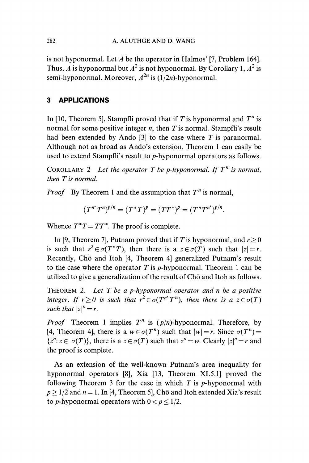is not hyponormal. Let A be the operator in Halmos' [7, Problem 164]. Thus, A is hyponormal but  $A^2$  is not hyponormal. By Corollary 1,  $A^2$  is semi-hyponormal. Moreover,  $A^{2n}$  is  $(1/2n)$ -hyponormal.

## 3 APPLICATIONS

In [10, Theorem 5], Stampfli proved that if T is hyponormal and  $T<sup>n</sup>$  is normal for some positive integer *n*, then T is normal. Stampfli's result had been extended by Ando [3] to the case where  $T$  is paranormal. Although not as broad as Ando's extension, Theorem 1 can easily be used to extend Stampfli's result to p-hyponormal operators as follows.

COROLLARY 2 Let the operator T be p-hyponormal. If  $T^n$  is normal. then T is normal.

*Proof* By Theorem 1 and the assumption that  $T^n$  is normal,

$$
(T^{n^*}T^n)^{p/n} = (T^*T)^p = (TT^*)^p = (T^nT^{n^*})^{p/n}.
$$

Whence  $T^*T = TT^*$ . The proof is complete.

In [9, Theorem 7], Putnam proved that if T is hyponormal, and  $r > 0$ is such that  $r^2 \in \sigma(T^*T)$ , then there is a  $z \in \sigma(T)$  such that  $|z| = r$ . Recently, Chō and Itoh [4, Theorem 4] generalized Putnam's result to the case where the operator T is p-hyponormal. Theorem 1 can be utilized to give a generalization of the result of  $Ch\bar{o}$  and Itoh as follows.

THEOREM 2. Let  $T$  be a p-hyponormal operator and  $n$  be a positive integer. If  $r \ge 0$  is such that  $r^2 \in \sigma(T^{n^*}T^n)$ , then there is a  $z \in \sigma(T)$ such that  $|z|^n = r$ .

*Proof* Theorem 1 implies  $T^n$  is  $(p/n)$ -hyponormal. Therefore, by [4, Theorem 4], there is a  $w \in \sigma(T^n)$  such that  $|w| = r$ . Since  $\sigma(T^n) =$  $\{z^n : z \in \sigma(T)\}\$ , there is a  $z \in \sigma(T)$  such that  $z^n = w$ . Clearly  $|z|^n = r$  and the proof is complete.

As an extension of the well-known Putnam's area inequality for hyponormal operators [8], Xia [13, Theorem XI.5.1] proved the following Theorem 3 for the case in which  $T$  is  $p$ -hyponormal with  $p \ge 1/2$  and  $n = 1$ . In [4, Theorem 5], Cho and Itoh extended Xia's result to p-hyponormal operators with  $0 < p < 1/2$ .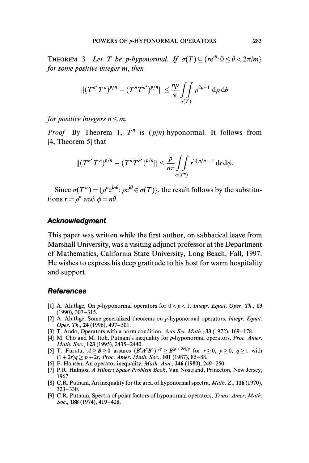THEOREM 3 Let T be p-hyponormal. If  $\sigma(T) \subset {re^{i\theta}: 0 \lt \theta \lt 2\pi/m}$ for some positive integer m, then

$$
||(T^{n^*}T^n)^{p/n} - (T^nT^{n^*})^{p/n}|| \leq \frac{np}{\pi} \iint\limits_{\sigma(T)} \rho^{2p-1} d\rho d\theta
$$

for positive integers  $n \le m$ .

*Proof* By Theorem 1,  $T^n$  is  $(p/n)$ -hyponormal. It follows from [4, Theorem 5] that

$$
||(T^{n^*}T^n)^{p/n}-(T^nT^{n^*})^{p/n}||\leq \frac{p}{n\pi}\int\limits_{\sigma(T^n)}\int\limits_{r^{2(p/n)-1}}r^{2(p/n)-1}\,drd\phi.
$$

Since  $\sigma(T^n) = \{ \rho^n e^{in\theta} : \rho e^{i\theta} \in \sigma(T) \}$ , the result follows by the substitutions  $r = \rho^n$  and  $\phi = n\theta$ .

### Acknowledgment

This paper was written while the first author, on sabbatical leave from Marshall University, was a visiting adjunct professor at the Department of Mathematics, California State University, Long Beach, Fall, 1997. He wishes to express his deep gratitude to his host for warm hospitality and support.

#### References

- [1] A. Aluthge, On p-hyponormal operators for  $0 < p < 1$ , Integr. Equat. Oper. Th., 13 (1990), 307-315.
- [2] A. Aluthge, Some generalized theorems on p-hyponormal operators, Integr. Equat. Oper. Th., 24 (1996), 497-501.
- [3] T. Ando, Operators with a norm condition, Acta Sci. Math.; 33 (1972), 169-178.
- [4] M. Chō and M. Itoh, Putnam's inequality for p-hyponormal operators, Proc. Amer. Math. Soc., 123 (1995), 2435-2440.
- [5] T. Furuta,  $A \geq B \geq 0$  assures  $(B^r A^p B^r)^{1/q} \geq B^{(p+2r)/q}$  for  $r \geq 0$ ,  $p \geq 0$ ,  $q \geq 1$  with  $(1+2r)q \ge p+2r$ , Proc. Amer. Math. Soc., 101 (1987), 85-88.
- [6] F. Hansen, An operator inequality, *Math. Ann.*, **246** (1980), 249–250.
- [7] P.R. Halmos, A Hilbert Space Problem Book, Van Nostrand, Princeton, New Jersey, 1967.
- [8] C.R. Putnam, An inequality for the area of hyponormal spectra, *Math. Z.*, 116 (1970), 323-330.
- [9] C.R. Putnam, Spectra of polar factors of hyponormal operators, Trans. Amer. Math. Soc., **188** (1974), 419–428.